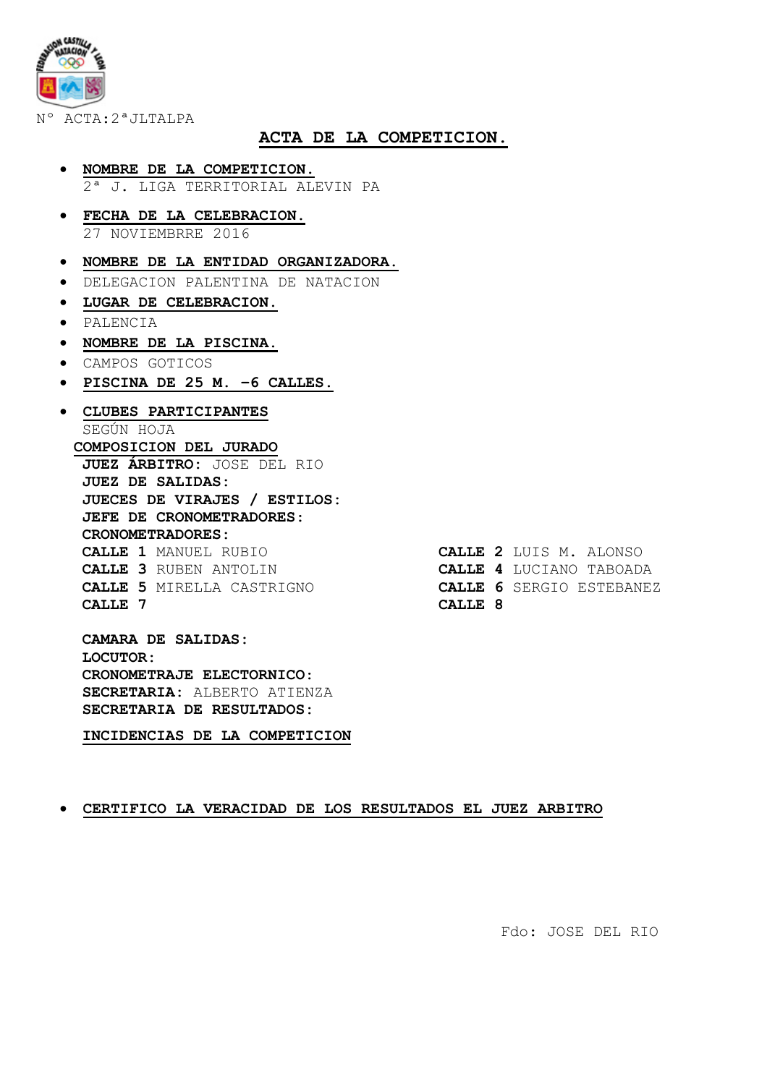Nº ACTA:2ªJLTALPA

### **ACTA DE LA COMPETICION.**

- **NOMBRE DE LA COMPETICION.**  2ª J. LIGA TERRITORIAL ALEVIN PA
- **FECHA DE LA CELEBRACION.**  27 NOVIEMBRRE 2016
- **NOMBRE DE LA ENTIDAD ORGANIZADORA.**
- DELEGACION PALENTINA DE NATACION
- **LUGAR DE CELEBRACION.**
- PALENCIA
- **NOMBRE DE LA PISCINA.**
- CAMPOS GOTICOS
- **PISCINA DE 25 M. –6 CALLES.**
- **CLUBES PARTICIPANTES**  SEGÚN HOJA **COMPOSICION DEL JURADO JUEZ ÁRBITRO:** JOSE DEL RIO **JUEZ DE SALIDAS: JUECES DE VIRAJES / ESTILOS: JEFE DE CRONOMETRADORES**: **CRONOMETRADORES: CALLE 1** MANUEL RUBIO **CALLE 2** LUIS M. ALONSO **CALLE 3** RUBEN ANTOLIN **CALLE 4** LUCIANO TABOADA **CALLE 5** MIRELLA CASTRIGNO **CALLE 6** SERGIO ESTEBANEZ **CALLE 7 CALLE 8**

**CAMARA DE SALIDAS: LOCUTOR: CRONOMETRAJE ELECTORNICO**: **SECRETARIA:** ALBERTO ATIENZA **SECRETARIA DE RESULTADOS:** 

**INCIDENCIAS DE LA COMPETICION** 

#### • **CERTIFICO LA VERACIDAD DE LOS RESULTADOS EL JUEZ ARBITRO**

Fdo: JOSE DEL RIO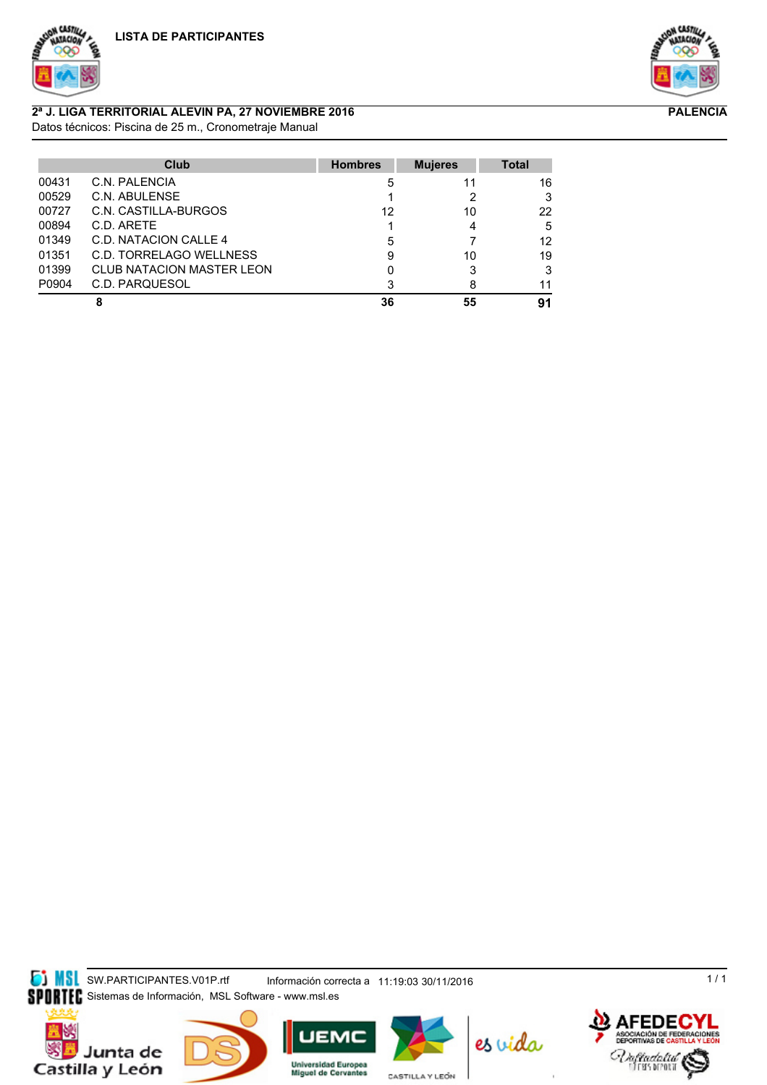



**PALENCIA**

## **2ª J. LIGA TERRITORIAL ALEVIN PA, 27 NOVIEMBRE 2016**

Datos técnicos: Piscina de 25 m., Cronometraje Manual

|       | Club                             | <b>Hombres</b> | <b>Mujeres</b> | <b>Total</b> |
|-------|----------------------------------|----------------|----------------|--------------|
| 00431 | C.N. PALENCIA                    | 5              | 11             | 16           |
| 00529 | C.N. ABULENSE                    |                |                | 3            |
| 00727 | C.N. CASTILLA-BURGOS             | 12             | 10             | 22           |
| 00894 | C.D. ARETE                       |                |                | 5            |
| 01349 | C.D. NATACION CALLE 4            | 5              |                | 12           |
| 01351 | C.D. TORRELAGO WELLNESS          | 9              | 10             | 19           |
| 01399 | <b>CLUB NATACION MASTER LEON</b> |                | 3              | 3            |
| P0904 | C.D. PARQUESOL                   | 3              | 8              | 11           |
|       | 8                                | 36             | 55             | 91           |

**SIMSL** SW.PARTICIPANTES.V01P.rtf Información correcta a 11:19:03 30/11/2016









CASTILLA Y LEÓN





 $1/1$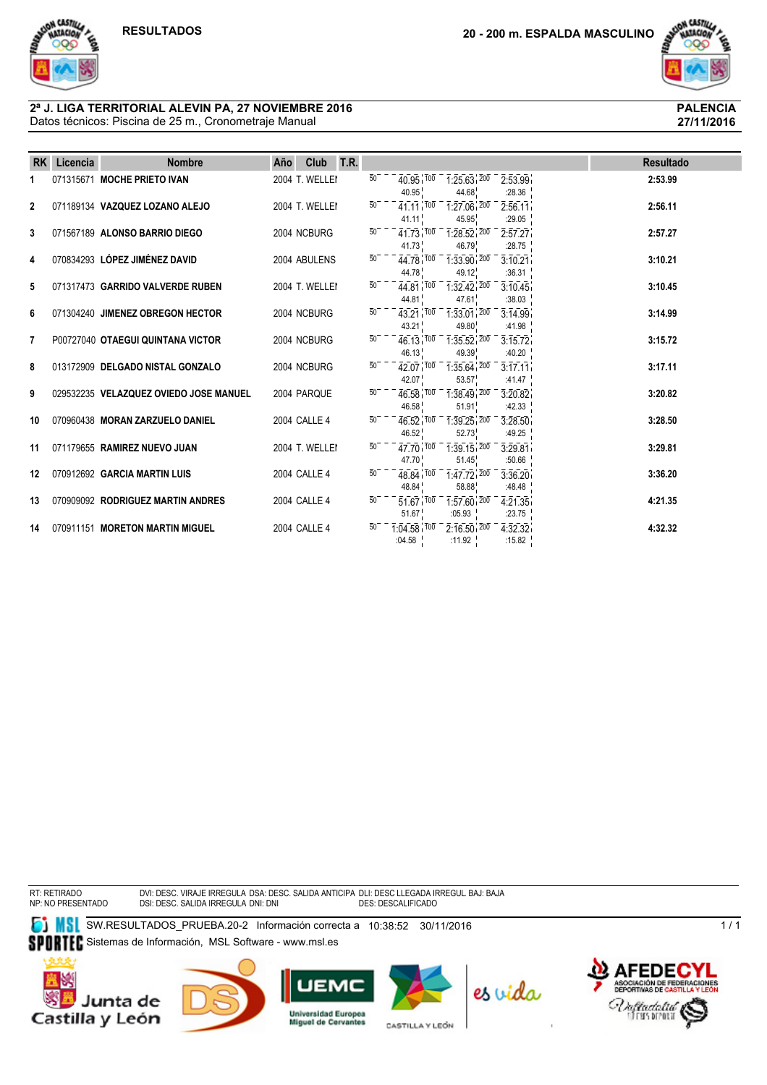

**27/11/2016**

#### Datos técnicos: Piscina de 25 m., Cronometraje Manual **2ª J. LIGA TERRITORIAL ALEVIN PA, 27 NOVIEMBRE 2016 PALENCIA**

| <b>RK</b>      | Licencia | <b>Nombre</b>                          | Año | Club           | T.R. |                 |                                                   |                                                      |                                                                                                                  | <b>Resultado</b> |
|----------------|----------|----------------------------------------|-----|----------------|------|-----------------|---------------------------------------------------|------------------------------------------------------|------------------------------------------------------------------------------------------------------------------|------------------|
|                |          | 071315671 MOCHE PRIETO IVAN            |     | 2004 T. WELLEI |      | $\overline{50}$ | 40.95                                             | $40.95$ , $100 - 1.25.63$ , $200$<br>44.68           | 2:53.99<br>:28.36                                                                                                | 2:53.99          |
| $\overline{2}$ |          | 071189134 VAZQUEZ LOZANO ALEJO         |     | 2004 T. WELLEI |      | 50              | 41 11 100<br>41.11                                | $1:27.06$ , $200$<br>45.95                           | 2:56.11<br>:29.05                                                                                                | 2:56.11          |
| 3              |          | 071567189 ALONSO BARRIO DIEGO          |     | 2004 NCBURG    |      | $50^{-}$        | 41.73                                             | $41.73$ , $100 - 1.28.52$ , $200$<br>46.79           | 2:57.27<br>:28.75                                                                                                | 2:57.27          |
| 4              |          | 070834293 LÓPEZ JIMÉNEZ DAVID          |     | 2004 ABULENS   |      | $\overline{50}$ | 44.78                                             | $44.78$ , $100 - 133.90$ , $200$<br>49.12            | 3:10.21<br>:36.31                                                                                                | 3:10.21          |
| 5              |          | 071317473 GARRIDO VALVERDE RUBEN       |     | 2004 T. WELLEI |      | $\overline{50}$ | 44.81                                             | $44.81$ , $100 - 1.32$ , $42$ , $200$<br>47.61       | 3:10.45<br>:38.03                                                                                                | 3:10.45          |
| 6              |          | 071304240 JIMENEZ OBREGON HECTOR       |     | 2004 NCBURG    |      |                 | 43.21                                             | $43.21$ , $100 - 1.33.01$ , $200 - 3.14.99$<br>49.80 | :41.98                                                                                                           | 3:14.99          |
| 7              |          | P00727040 OTAEGUI QUINTANA VICTOR      |     | 2004 NCBURG    |      | $50^{-}$        | 46.13                                             | $46.13$ , $100$ $1.35.52$ , $200$<br>49.39           | 3:15.72<br>:40.20                                                                                                | 3:15.72          |
| 8              |          | 013172909 DELGADO NISTAL GONZALO       |     | 2004 NCBURG    |      | 50              | 42.07                                             | $42.07$ , $100 - 1.35.64$ , $200 -$<br>53.57         | 3:17.11<br>:41.47                                                                                                | 3:17.11          |
| 9              |          | 029532235 VELAZQUEZ OVIEDO JOSE MANUEL |     | 2004 PARQUE    |      |                 | 46.58                                             | $46.58$ , $100 - 1.38.49$ , $200$<br>51.91           | 3:20.82<br>:42.33 $\frac{1}{1}$                                                                                  | 3:20.82          |
| 10             |          | 070960438 MORAN ZARZUELO DANIEL        |     | 2004 CALLE 4   |      | $50^{-}$        | 46.52                                             | $46.52^{100}$ $1.39.25^{1200}$<br>52.73              | 3:28.50<br>:49.25 $\frac{1}{1}$                                                                                  | 3:28.50          |
| 11             |          | 071179655 RAMIREZ NUEVO JUAN           |     | 2004 T. WELLEI |      | $\overline{50}$ | 47.70 100<br>47.70                                | $1:39.15$ , $200$<br>51.45                           | 3:29.81<br>:50.66                                                                                                | 3:29.81          |
| 12             |          | 070912692 GARCIA MARTIN LUIS           |     | 2004 CALLE 4   |      | $50-$           | $48.84$ $100$<br>48.84                            | $1:47.72^{+200}$<br>58.88                            | 3:36.20<br>:48.48                                                                                                | 3:36.20          |
| 13             |          | 070909092 RODRIGUEZ MARTIN ANDRES      |     | 2004 CALLE 4   |      | $\overline{50}$ | 51.67                                             | :05.93 $\frac{1}{1}$                                 | $\overline{51.67}$ , $\overline{100}$ - $\overline{1.57.60}$ , $\overline{200}$ - $\overline{4.21.35}$<br>:23.75 | 4:21.35          |
| 14             |          | 070911151 MORETON MARTIN MIGUEL        |     | 2004 CALLE 4   |      |                 | $\overline{1:04.58}$ $\overline{100}$ -<br>:04.58 | :11.92 $\frac{1}{2}$                                 | $\overline{2:16.50}$ , $\overline{200}$ $\overline{4:32.32}$<br>:15.82 $\frac{1}{2}$                             | 4:32.32          |

RT: RETIRADO NP: NO PRESENTADO DVI: DESC. VIRAJE IRREGULA DSA: DESC. SALIDA ANTICIPA DLI: DESC LLEGADA IRREGUL BAJ: BAJA<br>DSI: DESC. SALIDA IRREGULA DNI: DNI

**SU**SW.RESULTADOS\_PRUEBA.20-2 Información correcta a 10:38:52 30/11/2016 SPORTEC Sistemas de Información, MSL Software - www.msl.es











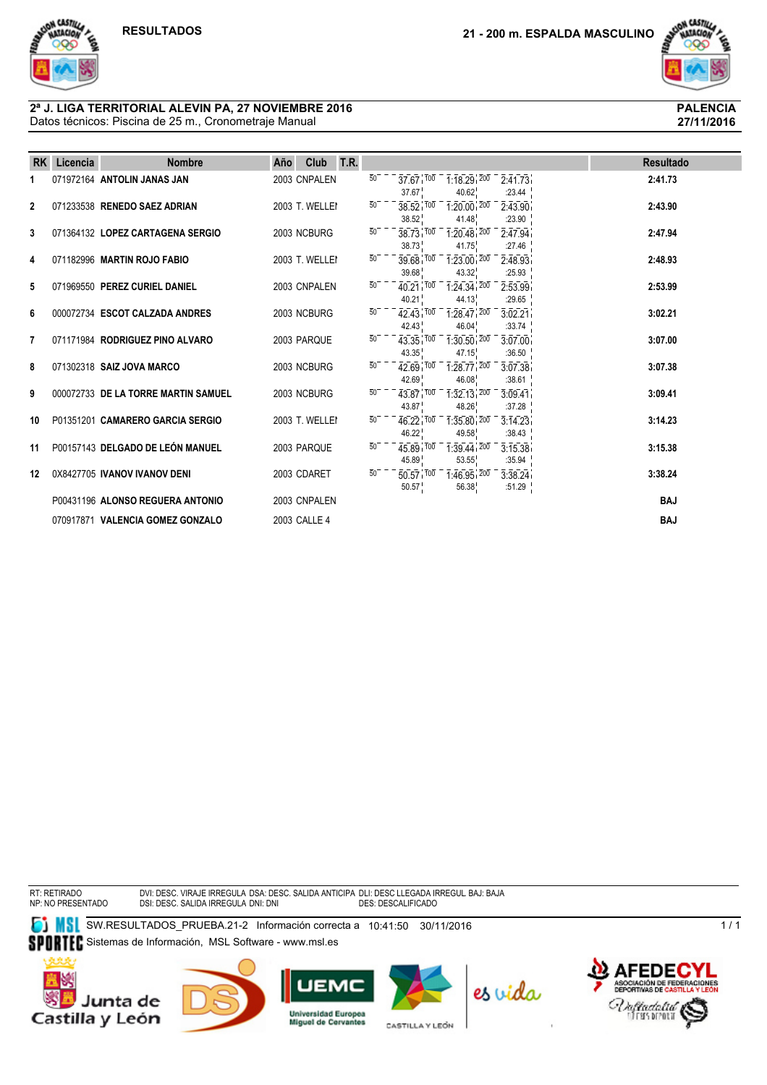

#### Datos técnicos: Piscina de 25 m., Cronometraje Manual **2ª J. LIGA TERRITORIAL ALEVIN PA, 27 NOVIEMBRE 2016 PALENCIA**

| <b>RK</b>    | Licencia | <b>Nombre</b>                       | Año | Club           | T.R. |                 |                                   |                                                                                    |                                                           | <b>Resultado</b> |
|--------------|----------|-------------------------------------|-----|----------------|------|-----------------|-----------------------------------|------------------------------------------------------------------------------------|-----------------------------------------------------------|------------------|
|              |          | 071972164 ANTOLIN JANAS JAN         |     | 2003 CNPALEN   |      | $\overline{50}$ | 37.67                             | $37.67$ $100$ $1.18.29$ $200$<br>40.62                                             | 2:41.73<br>:23.44                                         | 2:41.73          |
| $\mathbf{2}$ |          | 071233538 RENEDO SAEZ ADRIAN        |     | 2003 T. WELLEI |      |                 | 38.52                             | $38.52\overline{100}$ $1.20.00\overline{100}$<br>41.48                             | 2:43.90<br>:23.90                                         | 2:43.90          |
| 3            |          | 071364132 LOPEZ CARTAGENA SERGIO    |     | 2003 NCBURG    |      | $\overline{50}$ | 38.73                             | $38.73$ , $100 - 1.20.48$ , $200 - 1.200$<br>41.75                                 | 2.47.94<br>:27.46                                         | 2:47.94          |
| 4            |          | 071182996 MARTIN ROJO FABIO         |     | 2003 T. WELLEI |      | 50              | 39.68                             | $39.68$ $100 - 1.23.00$ $200$<br>43.32                                             | 2:48.93<br>:25.93                                         | 2:48.93          |
| 5            |          | 071969550 PEREZ CURIEL DANIEL       |     | 2003 CNPALEN   |      | 50              | $40.21$ $100$<br>40.21            | $1:24.34$ , $200$<br>44.13                                                         | 2:53.99<br>:29.65                                         | 2:53.99          |
| 6            |          | 000072734 ESCOT CALZADA ANDRES      |     | 2003 NCBURG    |      | $\overline{50}$ | 42.43                             | $42.43$ $100 - 1.28.47$ $200$<br>46.04                                             | 3.02.21<br>:33.74                                         | 3:02.21          |
| 7            |          | 071171984 RODRIGUEZ PINO ALVARO     |     | 2003 PARQUE    |      | $50^{-}$        | 43.35                             | $43.35$ , $100 - 1.30.50$ , $200 -$<br>47.15                                       | 3:07.00<br>:36.50                                         | 3:07.00          |
| 8            |          | 071302318 SAIZ JOVA MARCO           |     | 2003 NCBURG    |      | $\overline{50}$ | $42.69$ $100$<br>42.69            | $1:28.77$ , $200$<br>46.08                                                         | 3.07.38<br>:38.61                                         | 3:07.38          |
| 9            |          | 000072733 DE LA TORRE MARTIN SAMUEL |     | 2003 NCBURG    |      | $50^{-}$        | 43.87                             | $43.87$ $100 - 1.32$ $13.200$<br>48.26                                             | 3.09.41<br>:37.28                                         | 3:09.41          |
| 10           |          | P01351201 CAMARERO GARCIA SERGIO    |     | 2003 T. WELLEI |      | 50              | 46.22                             | 49.58                                                                              | $46.22 \cdot 100 = 1.35.80 \cdot 200 = 3.14.23$<br>:38.43 | 3:14.23          |
| 11           |          | P00157143 DELGADO DE LEÓN MANUEL    |     | 2003 PARQUE    |      | 50 <sup>7</sup> | $45.89$ $\overline{100}$<br>45.89 | $1:39.44$ , $200$<br>53.55                                                         | 3.15.38<br>:35.94                                         | 3:15.38          |
| 12           |          | 0X8427705 IVANOV IVANOV DENI        |     | 2003 CDARET    |      | 50              | 50.57                             | $\overline{50.57}$ $\overline{100}$ $\overline{1.46.95}$ $\overline{200}$<br>56.38 | 3:38.24<br>:51.29 $\frac{1}{1}$                           | 3:38.24          |
|              |          | P00431196 ALONSO REGUERA ANTONIO    |     | 2003 CNPALEN   |      |                 |                                   |                                                                                    |                                                           | <b>BAJ</b>       |
|              |          | 070917871 VALENCIA GOMEZ GONZALO    |     | 2003 CALLE 4   |      |                 |                                   |                                                                                    |                                                           | <b>BAJ</b>       |

RT: RETIRADO NP: NO PRESENTADO DVI: DESC. VIRAJE IRREGULA DSA: DESC. SALIDA ANTICIPA DLI: DESC LLEGADA IRREGUL BAJ: BAJA<br>DSI: DESC. SALIDA IRREGULA DNI: DNI

**SW.RESULTADOS\_PRUEBA.21-2 Información correcta a 10:41:50 30/11/2016** SPORTEC Sistemas de Información, MSL Software - www.msl.es











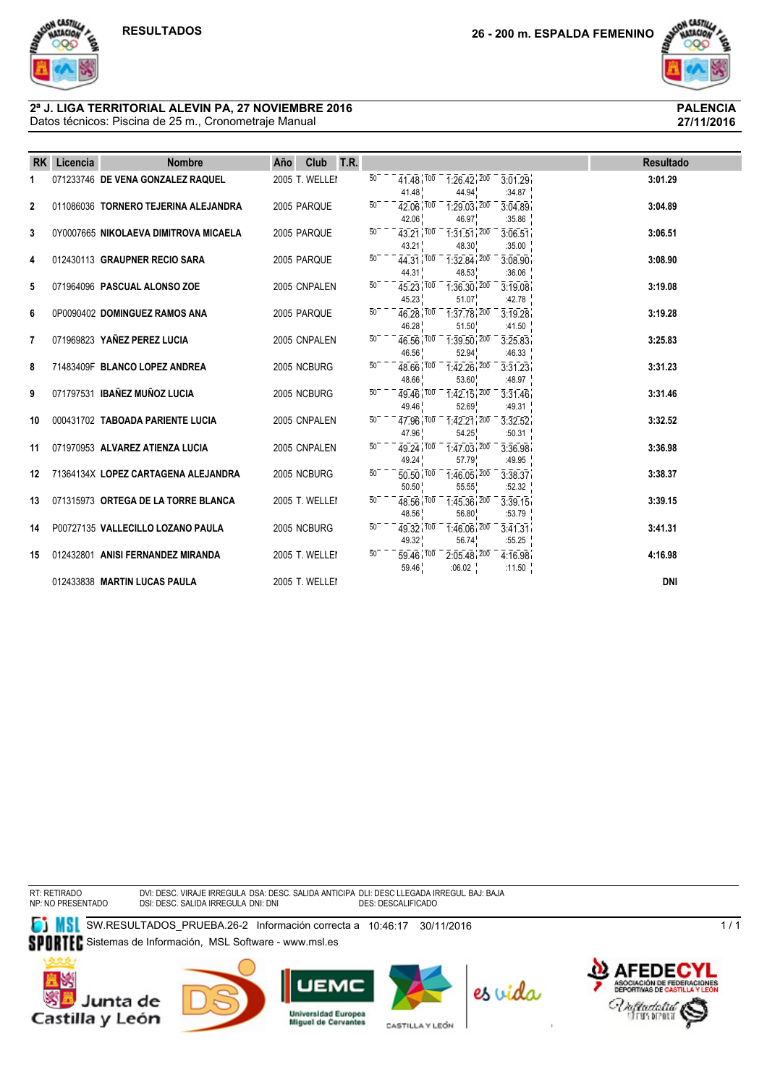

**27/11/2016**

#### Datos técnicos: Piscina de 25 m., Cronometraje Manual **2ª J. LIGA TERRITORIAL ALEVIN PA, 27 NOVIEMBRE 2016 PALENCIA**

| <b>RK</b>      | Licencia | <b>Nombre</b>                         | Año | Club           | T.R. |                 |                                              |                                                         |                                 |  | <b>Resultado</b> |
|----------------|----------|---------------------------------------|-----|----------------|------|-----------------|----------------------------------------------|---------------------------------------------------------|---------------------------------|--|------------------|
| 1              |          | 071233746 DE VENA GONZALEZ RAQUEL     |     | 2005 T. WELLEI |      | $50^{-}$        | 41.48                                        | $41.48$ $100 - 1.26.42$ $200$<br>44.94                  | 3.01.29<br>:34.87               |  | 3:01.29          |
| $\overline{2}$ |          | 011086036 TORNERO TEJERINA ALEJANDRA  |     | 2005 PARQUE    |      | 50              | $42.06$ $100$<br>42.06                       | $1:29.03$ , $200$<br>46.97                              | 3.04.89<br>:35.86               |  | 3:04.89          |
| 3              |          | 0Y0007665 NIKOLAEVA DIMITROVA MICAELA |     | 2005 PARQUE    |      | $\overline{50}$ | 43.21                                        | $43.21$ , $100 - 1.31.51$ , $200$<br>48.30              | 3:06.51<br>:35.00               |  | 3:06.51          |
| 4              |          | 012430113 GRAUPNER RECIO SARA         |     | 2005 PAROUE    |      | $\overline{50}$ | 44 31 100<br>44.31                           | $\frac{1}{1.32.84}$ , $\frac{200}{200}$<br>48.53        | 3:08.90<br>:36.06               |  | 3:08.90          |
| 5              |          | 071964096 PASCUAL ALONSO ZOE          |     | 2005 CNPALEN   |      | $\overline{50}$ | 45.23                                        | $45.23$ , $100 - 1.36.30$ , $200 -$<br>51.07            | 3:19.08<br>:42.78               |  | 3:19.08          |
| 6              |          | 0P0090402 DOMINGUEZ RAMOS ANA         |     | 2005 PARQUE    |      | $50^{-}$        | 46.28 100<br>46.28                           | $1:37.78$ , $200$<br>51.50                              | 3:19.28<br>:41.50 $\frac{1}{2}$ |  | 3:19.28          |
| 7              |          | 071969823 YAÑEZ PEREZ LUCIA           |     | 2005 CNPALEN   |      | $\overline{50}$ | $46.56$ $100$<br>46.56                       | $1:39.50$ , $200$<br>52.94                              | 3:25.83<br>:46.33               |  | 3:25.83          |
| 8              |          | 71483409F BLANCO LOPEZ ANDREA         |     | 2005 NCBURG    |      | $\overline{50}$ | 48.66                                        | $48.66$ , $100$ $1.42.26$ , $200$<br>53.60              | 3:31.23<br>:48.97               |  | 3:31.23          |
| 9              |          | 071797531 IBAÑEZ MUÑOZ LUCIA          |     | 2005 NCBURG    |      | $\overline{5}0$ | 49.46 100<br>49.46                           | $\overline{1:}42.15$ , $\overline{200}$<br>52.69        | 3:31.46<br>:49.31               |  | 3:31.46          |
| 10             |          | 000431702 TABOADA PARIENTE LUCIA      |     | 2005 CNPALEN   |      | $\overline{50}$ | $\overline{47.96}$ $\overline{100}$<br>47.96 | $\frac{1}{1.42.21}$ , $\frac{200}{200}$<br>54.25        | 3:32.52<br>:50.31               |  | 3:32.52          |
| 11             |          | 071970953 ALVAREZ ATIENZA LUCIA       |     | 2005 CNPALEN   |      | $\overline{50}$ | 49.24                                        | 49.24 100 1.47.03 200<br>57.79                          | 3:36.98<br>:49.95               |  | 3:36.98          |
| 12             |          | 71364134X LOPEZ CARTAGENA ALEJANDRA   |     | 2005 NCBURG    |      | $50^{-}$        | $50.50$ $\frac{700}{ }$<br>50.50             | $\overline{1}:\overline{46.05}:\overline{200}$<br>55.55 | 3:38.37<br>:52.32               |  | 3:38.37          |
| 13             |          | 071315973 ORTEGA DE LA TORRE BLANCA   |     | 2005 T. WELLEI |      | $\overline{50}$ | 48.56 100<br>48.56                           | $1:45.36$ , $200$<br>56.80                              | 3:39.15<br>:53.79               |  | 3:39.15          |
| 14             |          | P00727135 VALLECILLO LOZANO PAULA     |     | 2005 NCBURG    |      | $\overline{50}$ | $49.32^{100}$<br>49.32                       | $1:46.06$ , $200$<br>56.74                              | 3.41.31<br>:55.25               |  | 3:41.31          |
| 15             |          | 012432801 ANISI FERNANDEZ MIRANDA     |     | 2005 T. WELLEI |      | $\overline{50}$ | $59.46$ $100$<br>59.46                       | $2:05.48$ , $200$<br>:06.02 $^{-1}$                     | 4:16.98<br>:11.50 $\frac{1}{1}$ |  | 4:16.98          |
|                |          | 012433838 MARTIN LUCAS PAULA          |     | 2005 T. WELLEI |      |                 |                                              |                                                         |                                 |  | <b>DNI</b>       |

RT: RETIRADO NP: NO PRESENTADO DVI: DESC. VIRAJE IRREGULA DSA: DESC. SALIDA ANTICIPA DLI: DESC LLEGADA IRREGUL BAJ: BAJA<br>DSI: DESC. SALIDA IRREGULA DNI: DNI

**SW.RESULTADOS\_PRUEBA.26-2 Información correcta a 10:46:17 30/11/2016** SPORTEC Sistemas de Información, MSL Software - www.msl.es











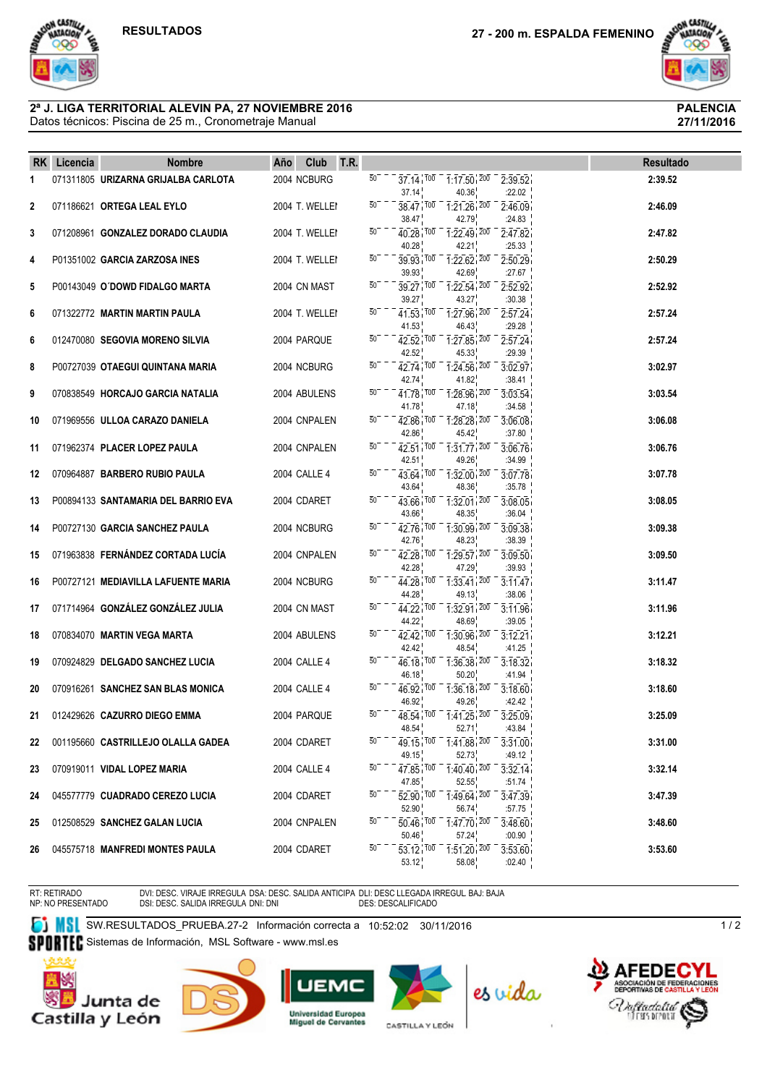ON CASTILL

MACIO



**27/11/2016**

#### Datos técnicos: Piscina de 25 m., Cronometraje Manual **2ª J. LIGA TERRITORIAL ALEVIN PA, 27 NOVIEMBRE 2016 PALENCIA**

|              | RK Licencia | <b>Nombre</b>                       | Año | Club T.R.      |                 |                               |                                                                                                         |                                 | Resultado |
|--------------|-------------|-------------------------------------|-----|----------------|-----------------|-------------------------------|---------------------------------------------------------------------------------------------------------|---------------------------------|-----------|
| 1            |             | 071311805 URIZARNA GRIJALBA CARLOTA |     | 2004 NCBURG    | $50^{-}$        | 37.14                         | $37.14$ , $100 - 1.17.50$ , $200 - 2.39.52$<br>40.36                                                    | :22.02                          | 2:39.52   |
| $\mathbf{2}$ |             | 071186621 ORTEGA LEAL EYLO          |     | 2004 T. WELLEI | 50              | 38.47                         | 38.47 100 1:21.26 200<br>42.79                                                                          | 2:46.09<br>:24.83               | 2:46.09   |
| 3            |             | 071208961 GONZALEZ DORADO CLAUDIA   |     | 2004 T. WELLEI | $50^{-}$        | 40.28                         | $40.28$ , $100 - 1.22.49$ , $200 -$<br>42.21                                                            | 2:47.82<br>:25.33               | 2:47.82   |
| 4            |             | P01351002 GARCIA ZARZOSA INES       |     | 2004 T. WELLEI | 50              | 39.93                         | $39.93$ $100 - 1.22.62$ $200$<br>42.69                                                                  | 2:50.29<br>:27.67               | 2:50.29   |
| 5            |             | P00143049 O'DOWD FIDALGO MARTA      |     | 2004 CN MAST   | 50              | 39.27                         | $39.27$ , $100 - 1.22.54$ , $200$<br>43.27                                                              | 2:52.92<br>:30.38               | 2:52.92   |
| 6            |             | 071322772 MARTIN MARTIN PAULA       |     | 2004 T. WELLEI | $50^{-}$        | 41.53                         | $41.53$ , $100 - 1.27.96$ , $200$<br>46.43                                                              | 2.57.24<br>:29.28               | 2:57.24   |
| 6            |             | 012470080 SEGOVIA MORENO SILVIA     |     | 2004 PARQUE    | $50^{-}$        | 42.52                         | $42.52$ , $100 - 1.27.85$ , $200$<br>45.33                                                              | 2.57.24<br>:29.39               | 2:57.24   |
| 8            |             | P00727039 OTAEGUI QUINTANA MARIA    |     | 2004 NCBURG    | $50-$           | 42.74                         | $42.74$ , $100 - 1.24.56$ , $200$<br>41.82                                                              | 3:02.97<br>:38.41               | 3:02.97   |
| 9            |             | 070838549 HORCAJO GARCIA NATALIA    |     | 2004 ABULENS   | 50              | 41.78                         | $41.78$ , $100 - 1.28.96$ , $200 -$<br>47.18                                                            | 3.03.54<br>:34.58               | 3:03.54   |
| 10           |             | 071969556 ULLOA CARAZO DANIELA      |     | 2004 CNPALEN   | $50^{-}$        | $42.86 \cdot 100$<br>42.86    | $\overline{1:28.28}$ , $\overline{200}$<br>45.42                                                        | 3:06.08<br>:37.80               | 3:06.08   |
| 11           |             | 071962374 PLACER LOPEZ PAULA        |     | 2004 CNPALEN   | $50^{-}$        | $42.51$ $100$<br>42.51        | $1:31.77$ $200$<br>49.26                                                                                | 3:06.76<br>:34.99               | 3:06.76   |
| 12           |             | 070964887 BARBERO RUBIO PAULA       |     | 2004 CALLE 4   | $50-$           | 43.64                         | $43.64$ $100 - 132.00$ $200 -$<br>48.36                                                                 | 3:07.78<br>:35.78               | 3:07.78   |
| 13           |             | P00894133 SANTAMARIA DEL BARRIO EVA |     | 2004 CDARET    | $50^{-}$        | 43.66                         | $43.66$ , $100$ $1.32.01$ , $200$<br>48.35                                                              | 3:08.05<br>:36.04               | 3:08.05   |
| 14           |             | P00727130 GARCIA SANCHEZ PAULA      |     | 2004 NCBURG    | $50^{-}$        | 42.76                         | $42.76$ , $100 - 1.30.99$ , $200 -$<br>48.23                                                            | 3.09.38<br>:38.39               | 3:09.38   |
| 15           |             | 071963838 FERNÁNDEZ CORTADA LUCÍA   |     | 2004 CNPALEN   | $50^{-}$        | $42.28$ , $100$<br>42.28      | $\overline{1:}29.57$ , $\overline{200}$<br>47.29                                                        | 3.09.50<br>:39.93               | 3:09.50   |
| 16           |             | P00727121 MEDIAVILLA LAFUENTE MARIA |     | 2004 NCBURG    | 50              | 44.28                         | 44.28 100 1:33.41 200 -<br>49.13                                                                        | 3.11.47<br>:38.06               | 3:11.47   |
| 17           |             | 071714964 GONZÁLEZ GONZÁLEZ JULIA   |     | 2004 CN MAST   | 50 <sup>7</sup> | 44.22                         | 44.22 100 1:32.91 200<br>48.69                                                                          | 3:11.96<br>:39.05               | 3:11.96   |
| 18           |             | 070834070 MARTIN VEGA MARTA         |     | 2004 ABULENS   | $50^{-}$        | $42.42^{1700}$<br>42.42       | $1:30.96$ , $200$<br>48.54                                                                              | 3:12.21<br>:41.25               | 3:12.21   |
| 19           |             | 070924829 DELGADO SANCHEZ LUCIA     |     | 2004 CALLE 4   | 50              | 46.18 100<br>46.18            | $1:36.38$ , $200$<br>50.20                                                                              | 3:18.32<br>:41.94 $\frac{1}{2}$ | 3:18.32   |
| 20           |             | 070916261 SANCHEZ SAN BLAS MONICA   |     | 2004 CALLE 4   | $50-$           | 46.92                         | $46.92$ , $100 - 1.36$ , $18$ , $200 -$<br>49.26                                                        | 3:18.60<br>:42.42               | 3:18.60   |
| 21           |             | 012429626 CAZURRO DIEGO EMMA        |     | 2004 PARQUE    | 50              | 48.54 <sup>100</sup><br>48.54 | $1:41.25$ , $200$<br>52.71                                                                              | 3:25.09<br>:43.84               | 3:25.09   |
| 22           |             | 001195660 CASTRILLEJO OLALLA GADEA  |     | 2004 CDARET    | 50              | 49.15                         | $49.15$ , $100$ $1.41.88$ , $200$ $3.31.00$<br>52.73                                                    | :49.12                          | 3:31.00   |
| 23           |             | 070919011 VIDAL LOPEZ MARIA         |     | 2004 CALLE 4   | 50              | 47.85                         | $47.85$ , $100 - 1.40$ , $40$ , $200 - 3.32$ , $14$<br>52.55                                            | :51.74                          | 3:32.14   |
| 24           |             | 045577779 CUADRADO CEREZO LUCIA     |     | 2004 CDARET    | $50-$           | 52.90                         | $\overline{52.90}$ , $\overline{100}$ $\overline{10.49.64}$ , $\overline{200}$ $\overline{10}$<br>56.74 | 3.47.39<br>:57.75               | 3:47.39   |
| 25           |             | 012508529 SANCHEZ GALAN LUCIA       |     | 2004 CNPALEN   | 50              | 50.46                         | $\overline{50.46}$ $\overline{100}$ $\overline{1.47.70}$ $\overline{200}$ $\overline{3.48.60}$<br>57.24 | :00.90                          | 3:48.60   |
| 26           |             | 045575718 MANFREDI MONTES PAULA     |     | 2004 CDARET    | 50              | 53.12                         | $53.12$ , $\frac{100}{100}$ , $\frac{1.51.20}{200}$ , $\frac{200}{3.53.60}$<br>58.08                    | :02.40                          | 3:53.60   |

RT: RETIRADO NP: NO PRESENTADO DVI: DESC. VIRAJE IRREGULA DSA: DESC. SALIDA ANTICIPA DLI: DESC LLEGADA IRREGUL BAJ: BAJA<br>DSI: DESC. SALIDA IRREGULA DNI: DNI

**SW.RESULTADOS\_PRUEBA.27-2 Información correcta a 10:52:02 30/11/2016** 

SPORTEC Sistemas de Información, MSL Software - www.msl.es









CASTILLA Y LEÓN



 $1/2$ 

**PNES**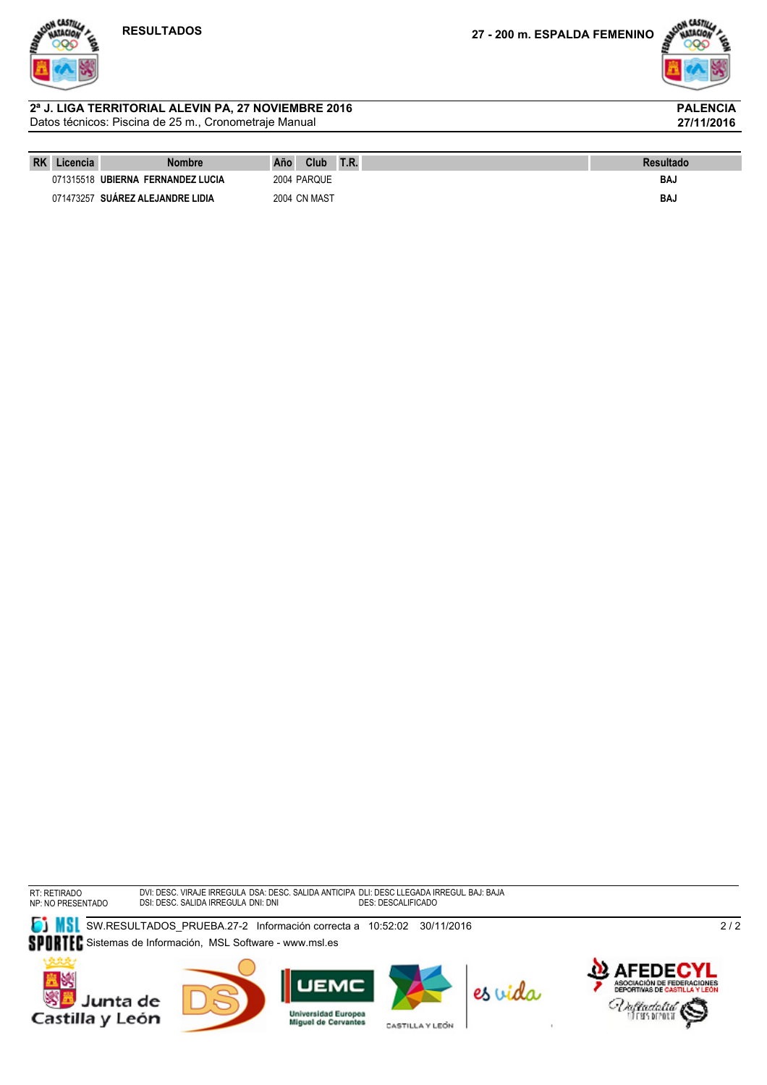

**27/11/2016**

#### Datos técnicos: Piscina de 25 m., Cronometraje Manual **2ª J. LIGA TERRITORIAL ALEVIN PA, 27 NOVIEMBRE 2016 PALENCIA**

| <b>RK</b> | Licencia  | Nombre                            | Año | Club         | T.R. | <b>Resultado</b> |
|-----------|-----------|-----------------------------------|-----|--------------|------|------------------|
|           |           | 071315518 UBIERNA FERNANDEZ LUCIA |     | 2004 PARQUE  |      | BAJ              |
|           | 071473257 | <b>SUÁREZ ALEJANDRE LIDIA</b>     |     | 2004 CN MAST |      | BAJ              |

RT: RETIRADO NP: NO PRESENTADO DVI: DESC. VIRAJE IRREGULA DSA: DESC. SALIDA ANTICIPA DLI: DESC LLEGADA IRREGUL BAJ: BAJA DSI: DESC. SALIDA IRREGULA DNI: DNI DES: DESCALIFICADO

SW.RESULTADOS\_PRUEBA.27-2 Información correcta a 10:52:02 30/11/2016

SPORTEC Sistemas de Información, MSL Software - www.msl.es













 $\frac{2}{2}$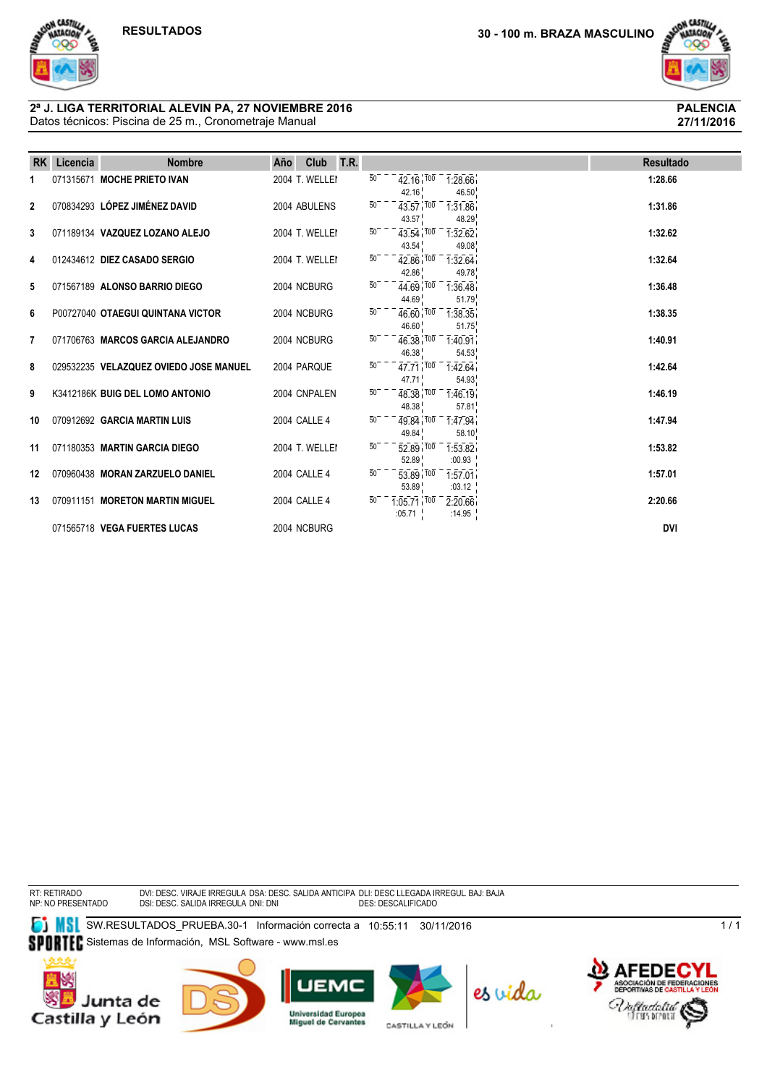

**27/11/2016**

#### Datos técnicos: Piscina de 25 m., Cronometraje Manual **2ª J. LIGA TERRITORIAL ALEVIN PA, 27 NOVIEMBRE 2016 PALENCIA**

| <b>RK</b>    | Licencia | <b>Nombre</b>                          | Año | Club           | T.R. |                 |                                  |                                    | <b>Resultado</b> |
|--------------|----------|----------------------------------------|-----|----------------|------|-----------------|----------------------------------|------------------------------------|------------------|
| 1            |          | 071315671 MOCHE PRIETO IVAN            |     | 2004 T. WELLEI |      | $\overline{50}$ | 42.16                            | $42.16$ $100 - 1.28.66$<br>46.50   | 1:28.66          |
| $\mathbf{2}$ |          | 070834293 LÓPEZ JIMÉNEZ DAVID          |     | 2004 ABULENS   |      | 50              | 43.57 100<br>43.57               | 1:31.86<br>48.29                   | 1:31.86          |
| 3            |          | 071189134 VAZQUEZ LOZANO ALEJO         |     | 2004 T. WELLEI |      | $50^{-}$        | 43.54                            | $43.54$ , $100 - 1.32.62$<br>49.08 | 1:32.62          |
| 4            |          | 012434612 DIEZ CASADO SERGIO           |     | 2004 T. WELLEI |      | 50              | 42.86                            | $42.86$ $100 - 1.32.64$<br>49.78   | 1:32.64          |
| 5            |          | 071567189 ALONSO BARRIO DIEGO          |     | 2004 NCBURG    |      | $\overline{50}$ | 44.69                            | $44.69$ $100 - 1.36.48$<br>51.79   | 1:36.48          |
| 6            |          | P00727040 OTAEGUI QUINTANA VICTOR      |     | 2004 NCBURG    |      | $\overline{50}$ | 46.60                            | $46.60$ $100 - 1.38.35$<br>51.75   | 1:38.35          |
| 7            |          | 071706763 MARCOS GARCIA ALEJANDRO      |     | 2004 NCBURG    |      | $\overline{50}$ | $46.38 \cdot 100$<br>46.38       | 1:40.91<br>54.53                   | 1:40.91          |
| 8            |          | 029532235 VELAZQUEZ OVIEDO JOSE MANUEL |     | 2004 PARQUE    |      | $\overline{50}$ | 47.71                            | $47.71$ $100 - 1.42.64$<br>54.93   | 1:42.64          |
| 9            |          | K3412186K BUIG DEL LOMO ANTONIO        |     | 2004 CNPALEN   |      | $\overline{50}$ | 48.38                            | $48.38$ $100 - 1.46$ 19<br>57.81   | 1:46.19          |
| 10           |          | 070912692 GARCIA MARTIN LUIS           |     | 2004 CALLE 4   |      | $50-$           | 49.84                            | $49.84$ , $100 - 1.47.94$<br>58.10 | 1:47.94          |
| 11           |          | 071180353 MARTIN GARCIA DIEGO          |     | 2004 T. WELLEI |      | $\overline{50}$ | $52.89$ $\frac{700}{ }$<br>52.89 | 1:53.82<br>:00.93                  | 1:53.82          |
| 12           |          | 070960438 MORAN ZARZUELO DANIEL        |     | 2004 CALLE 4   |      | $50^{-}$        | 53.89 100<br>53.89               | 1:57.01<br>:03.12 $\frac{1}{1}$    | 1:57.01          |
| 13           |          | 070911151 MORETON MARTIN MIGUEL        |     | 2004 CALLE 4   |      | $\overline{5}0$ | $1:05.71$ $700$<br>:05.71        | 2:20.66<br>:14.95 $^{-1}$          | 2:20.66          |
|              |          | 071565718 VEGA FUERTES LUCAS           |     | 2004 NCBURG    |      |                 |                                  |                                    | <b>DVI</b>       |

RT: RETIRADO NP: NO PRESENTADO DVI: DESC. VIRAJE IRREGULA DSA: DESC. SALIDA ANTICIPA DLI: DESC LLEGADA IRREGUL BAJ: BAJA<br>DSI: DESC. SALIDA IRREGULA DNI: DNI

**SW.RESULTADOS\_PRUEBA.30-1 Información correcta a 10:55:11 30/11/2016** SPORTEC Sistemas de Información, MSL Software - www.msl.es











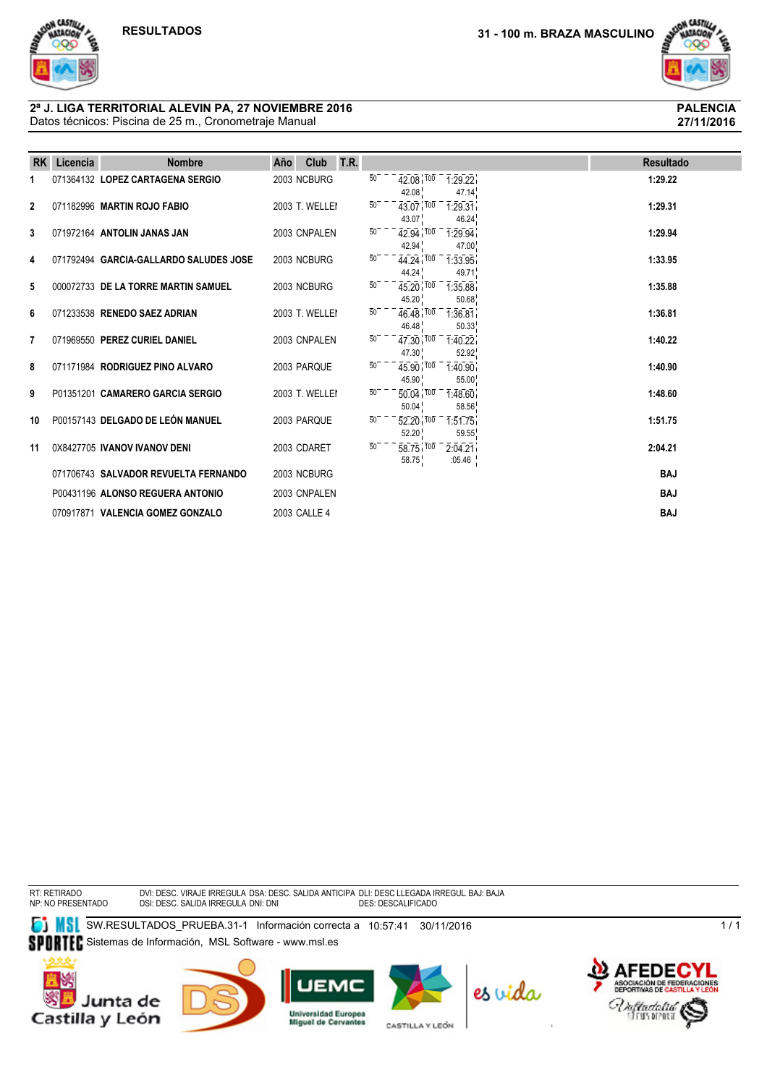

**27/11/2016**

#### Datos técnicos: Piscina de 25 m., Cronometraje Manual **2ª J. LIGA TERRITORIAL ALEVIN PA, 27 NOVIEMBRE 2016 PALENCIA**

| <b>RK</b>      | Licencia | <b>Nombre</b>                          | T.R.<br>Año<br>Club |                 |                               |                                 | <b>Resultado</b> |  |
|----------------|----------|----------------------------------------|---------------------|-----------------|-------------------------------|---------------------------------|------------------|--|
| 1              |          | 071364132 LOPEZ CARTAGENA SERGIO       | 2003 NCBURG         | $\overline{50}$ | 42.08 100<br>42.08            | 1:29.22<br>47.14                | 1:29.22          |  |
| $\overline{2}$ |          | 071182996 MARTIN ROJO FABIO            | 2003 T. WELLEI      | $\overline{50}$ | 43.07 100<br>43.07            | 1:29.31<br>46.24                | 1:29.31          |  |
| 3              |          | 071972164 ANTOLIN JANAS JAN            | 2003 CNPALEN        | $\overline{50}$ | $42.94$ $100$<br>42.94        | 1:29.94<br>47.00                | 1:29.94          |  |
| 4              |          | 071792494 GARCIA-GALLARDO SALUDES JOSE | 2003 NCBURG         | 50              | 44.24 100<br>44.24            | 1:33.95<br>49.71                | 1:33.95          |  |
| 5              |          | 000072733 DE LA TORRE MARTIN SAMUEL    | 2003 NCBURG         | $\overline{50}$ | 45.20 100<br>45.20            | 1:35.88<br>50.68                | 1:35.88          |  |
| 6              |          | 071233538 RENEDO SAEZ ADRIAN           | 2003 T. WELLEI      | $50^{-}$        | 46.48 100<br>46.48            | 1:36.81<br>50.33                | 1:36.81          |  |
| 7              |          | 071969550 PEREZ CURIEL DANIEL          | 2003 CNPALEN        | $\overline{50}$ | $47.30 \, \bar{100}$<br>47.30 | 1:40.22<br>52.92                | 1:40.22          |  |
| 8              |          | 071171984 RODRIGUEZ PINO ALVARO        | 2003 PARQUE         | $\overline{50}$ | $45.90^{1700}$<br>45.90       | 1:40.90 <sub>1</sub><br>55.00   | 1:40.90          |  |
| 9              |          | P01351201 CAMARERO GARCIA SERGIO       | 2003 T. WELLEI      | $50^{-}$        | $50.04$ $100$<br>50.04        | 1:48.60<br>58.56                | 1:48.60          |  |
| 10             |          | P00157143 DELGADO DE LEÓN MANUEL       | 2003 PAROUE         | $50^{-}$        | $52.20^{+700}$<br>52.20       | 1:51.75<br>59.55                | 1:51.75          |  |
| 11             |          | 0X8427705 IVANOV IVANOV DENI           | 2003 CDARET         | 50              | $58.75$ $100$<br>58.75        | 2:04.21<br>:05.46 $\frac{1}{1}$ | 2:04.21          |  |
|                |          | 071706743 SALVADOR REVUELTA FERNANDO   | 2003 NCBURG         |                 |                               |                                 | <b>BAJ</b>       |  |
|                |          | P00431196 ALONSO REGUERA ANTONIO       | 2003 CNPALEN        |                 |                               |                                 | <b>BAJ</b>       |  |
|                |          | 070917871 VALENCIA GOMEZ GONZALO       | 2003 CALLE 4        |                 |                               |                                 | <b>BAJ</b>       |  |

RT: RETIRADO NP: NO PRESENTADO DVI: DESC. VIRAJE IRREGULA DSA: DESC. SALIDA ANTICIPA DLI: DESC LLEGADA IRREGUL BAJ: BAJA<br>DSI: DESC. SALIDA IRREGULA DNI: DNI

**SW.RESULTADOS\_PRUEBA.31-1 Información correcta a 10:57:41 30/11/2016** SPORTEC Sistemas de Información, MSL Software - www.msl.es











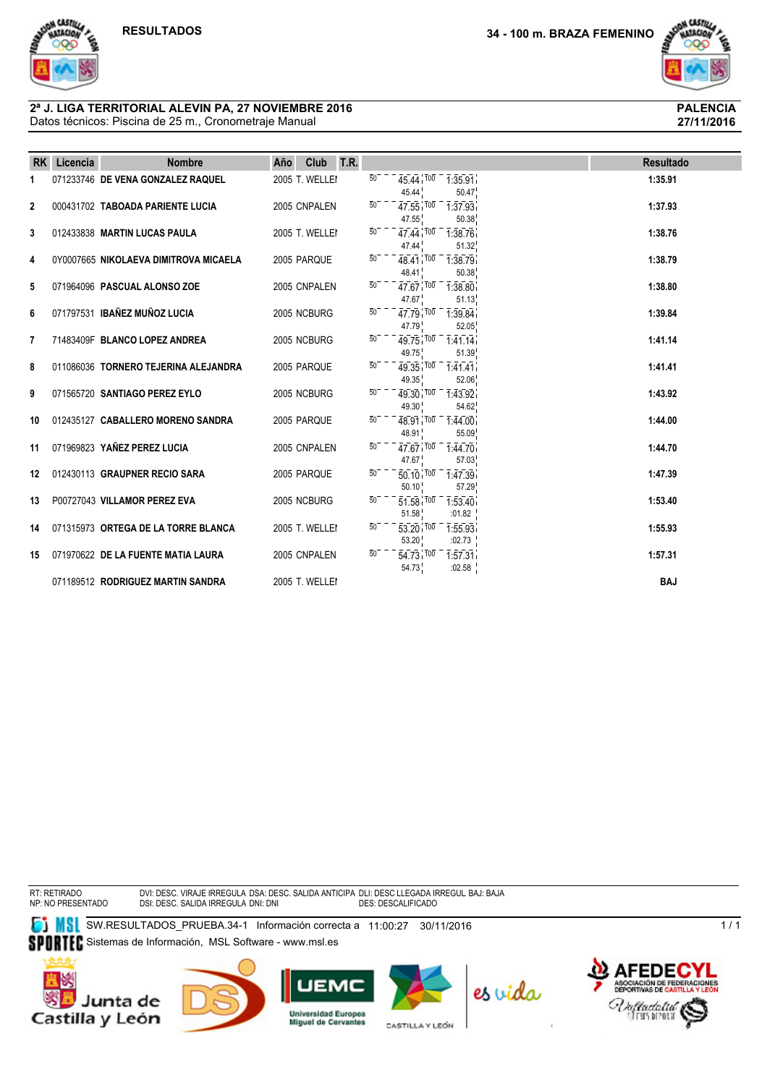ON CASTILLA<br>WATACIONA



**27/11/2016**

#### Datos técnicos: Piscina de 25 m., Cronometraje Manual **2ª J. LIGA TERRITORIAL ALEVIN PA, 27 NOVIEMBRE 2016 PALENCIA**

| <b>RK</b>    | Licencia | <b>Nombre</b>                         | Año | Club           | T.R. |                 |                                                |                                                                     | <b>Resultado</b> |
|--------------|----------|---------------------------------------|-----|----------------|------|-----------------|------------------------------------------------|---------------------------------------------------------------------|------------------|
| 1            |          | 071233746 DE VENA GONZALEZ RAQUEL     |     | 2005 T. WELLEI |      | $\overline{50}$ | 45.44                                          | $45.44$ , $100 - 1.35.91$<br>50.47                                  | 1:35.91          |
| $\mathbf{2}$ |          | 000431702 TABOADA PARIENTE LUCIA      |     | 2005 CNPALEN   |      | $\overline{50}$ | 47.55                                          | $47.55$ $100 - 1.37.93$<br>50.38                                    | 1:37.93          |
| 3            |          | 012433838 MARTIN LUCAS PAULA          |     | 2005 T. WELLEI |      | 50              | 47.44                                          | $47.44$ $100 - 1.38.76$<br>51.32                                    | 1:38.76          |
| 4            |          | 0Y0007665 NIKOLAEVA DIMITROVA MICAELA |     | 2005 PARQUE    |      | 50              | 48.41                                          | $48.41$ $100 - 1.38.79$<br>50.38                                    | 1:38.79          |
| 5            |          | 071964096 PASCUAL ALONSO ZOE          |     | 2005 CNPALEN   |      | $50-$           | 47.67                                          | $\overline{47.67}$ $\overline{100}$ $\overline{1}$ 38.80<br>51.13   | 1:38.80          |
| 6            |          | 071797531 IBAÑEZ MUÑOZ LUCIA          |     | 2005 NCBURG    |      | $50-$           | 47.79                                          | $47.79$ $100 - 1.39.84$<br>52.05                                    | 1:39.84          |
| 7            |          | 71483409F BLANCO LOPEZ ANDREA         |     | 2005 NCBURG    |      | $\overline{50}$ | 49.75                                          | $49.75$ , $100 - 1.41$ , 14<br>51.39                                | 1:41.14          |
| 8            |          | 011086036 TORNERO TEJERINA ALEJANDRA  |     | 2005 PARQUE    |      | $50-$           | $49.35$ $100$<br>49.35                         | 1:41.41<br>52.06                                                    | 1:41.41          |
| 9            |          | 071565720 SANTIAGO PEREZ EYLO         |     | 2005 NCBURG    |      | $50^{-}$        | $\overline{49.30}$ $\overline{100}$ –<br>49.30 | 1:43.92<br>54.62                                                    | 1:43.92          |
| 10           |          | 012435127 CABALLERO MORENO SANDRA     |     | 2005 PAROUE    |      | $50-$           | $48.91$ $700$<br>48.91                         | 1:44.00<br>55.09                                                    | 1:44.00          |
| 11           |          | 071969823 YAÑEZ PEREZ LUCIA           |     | 2005 CNPALEN   |      | $\overline{50}$ | $47.67$ $100$<br>47.67                         | 1:44.70<br>57.03                                                    | 1:44.70          |
| 12           |          | 012430113 GRAUPNER RECIO SARA         |     | 2005 PARQUE    |      | $50-$           | 50.10                                          | $\overline{50.10}$ , $\overline{100}$ $\overline{1.47.39}$<br>57.29 | 1:47.39          |
| 13           |          | P00727043 VILLAMOR PEREZ EVA          |     | 2005 NCBURG    |      | $\overline{50}$ | $51.58$ $100$<br>51.58                         | 1:53.40<br>:01.82                                                   | 1:53.40          |
| 14           |          | 071315973 ORTEGA DE LA TORRE BLANCA   |     | 2005 T. WELLEI |      | $\overline{50}$ | $\overline{53.20}$ $\overline{100}$<br>53.20   | 1:55.93<br>:02.73                                                   | 1:55.93          |
| 15           |          | 071970622 DE LA FUENTE MATIA LAURA    |     | 2005 CNPALEN   |      | $\overline{50}$ | $\overline{54.73}$ $\overline{100}$<br>54.73   | 1:57.31<br>:02.58                                                   | 1:57.31          |
|              |          | 071189512 RODRIGUEZ MARTIN SANDRA     |     | 2005 T. WELLEI |      |                 |                                                |                                                                     | <b>BAJ</b>       |

RT: RETIRADO NP: NO PRESENTADO DVI: DESC. VIRAJE IRREGULA DSA: DESC. SALIDA ANTICIPA DLI: DESC LLEGADA IRREGUL BAJ: BAJA<br>DSI: DESC. SALIDA IRREGULA DNI: DNI

**SW.RESULTADOS\_PRUEBA.34-1 Información correcta a 11:00:27 30/11/2016** SPORTEC Sistemas de Información, MSL Software - www.msl.es











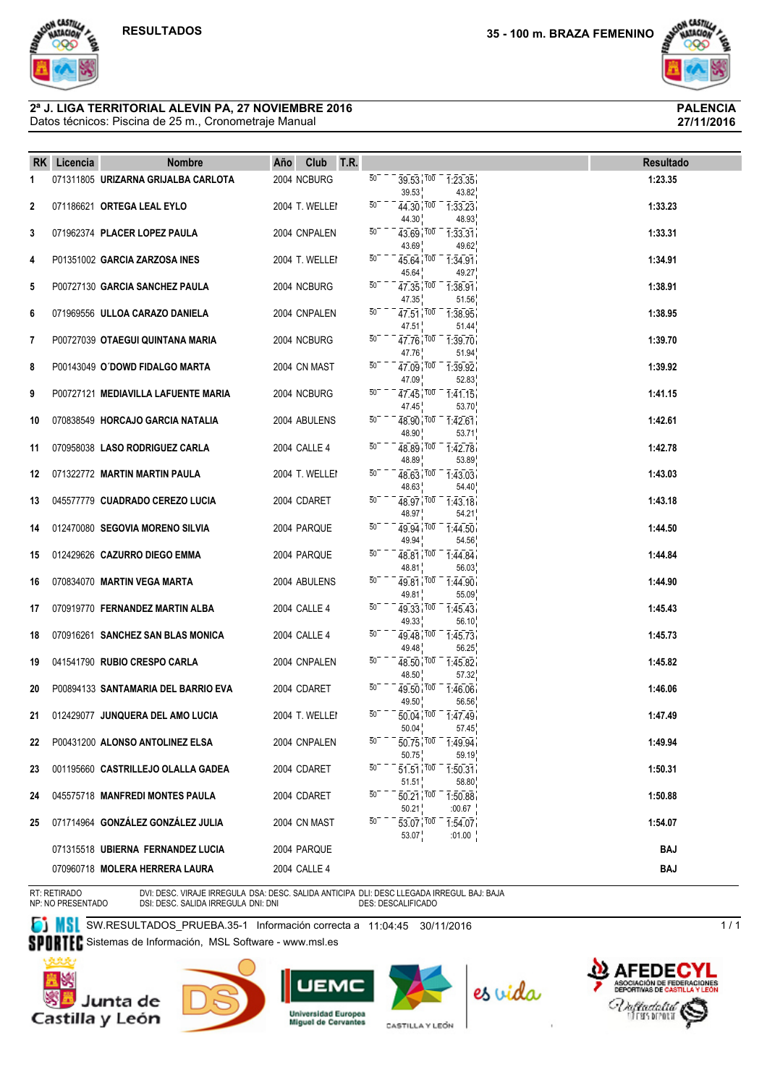ON CASTILLA

# ON CASTILL  $......$

**27/11/2016**

#### Datos técnicos: Piscina de 25 m., Cronometraje Manual **2ª J. LIGA TERRITORIAL ALEVIN PA, 27 NOVIEMBRE 2016 PALENCIA**

|     | RK Licencia | <b>Nombre</b>                       | T.R.<br>Club<br>Año |                                                                                                 | <b>Resultado</b> |
|-----|-------------|-------------------------------------|---------------------|-------------------------------------------------------------------------------------------------|------------------|
| 1   |             | 071311805 URIZARNA GRIJALBA CARLOTA | 2004 NCBURG         | $50^{-}$<br>$39.53 \times 100 - 1.23.35$<br>43.82<br>39.53                                      | 1:23.35          |
| 2   |             | 071186621 ORTEGA LEAL EYLO          | 2004 T. WELLEI      | 50<br>$44.30$ $100 - 133.23$<br>44.30<br>48.93                                                  | 1:33.23          |
| 3   |             | 071962374 PLACER LOPEZ PAULA        | 2004 CNPALEN        | $\overline{5}0$<br>$43.69$ $100 - 133.31$<br>49.62<br>43.69                                     | 1:33.31          |
| 4   |             | P01351002 GARCIA ZARZOSA INES       | 2004 T. WELLEI      | 50<br>$45.64$ $100 - 1.34.91$<br>45.64<br>49.27                                                 | 1:34.91          |
| 5   |             | P00727130 GARCIA SANCHEZ PAULA      | 2004 NCBURG         | $50^{-}$<br>$47.35$ , $100 - 1.38.91$<br>47.35<br>51.56                                         | 1:38.91          |
| 6   |             | 071969556 ULLOA CARAZO DANIELA      | 2004 CNPALEN        | $50-$<br>$47.51$ , $100 - 1.38.95$<br>47.51<br>51.44                                            | 1:38.95          |
| 7   |             | P00727039 OTAEGUI QUINTANA MARIA    | 2004 NCBURG         | $50^-$<br>$47.76$ $100 - 1.39.70$<br>47.76<br>51.94                                             | 1:39.70          |
| 8   |             | P00143049 O'DOWD FIDALGO MARTA      | 2004 CN MAST        | $50^-$<br>$47.09$ $100 - 1.39.92$<br>47.09<br>52.83                                             | 1:39.92          |
| 9   |             | P00727121 MEDIAVILLA LAFUENTE MARIA | 2004 NCBURG         | $50^-$<br>$47.45$ $100 - 1.41.15$<br>53.70<br>47.45                                             | 1:41.15          |
| 10  |             | 070838549 HORCAJO GARCIA NATALIA    | 2004 ABULENS        | $50-$<br>$48.90 \times 100 - 1.42.61$<br>48.90<br>53.71                                         | 1:42.61          |
| 11  |             | 070958038 LASO RODRIGUEZ CARLA      | 2004 CALLE 4        | 50<br>$48.89$ $100 - 1.42.78$<br>48.89<br>53.89                                                 | 1:42.78          |
| 12. |             | 071322772 MARTIN MARTIN PAULA       | 2004 T. WELLEI      | $50-$<br>$48.63$ $100 - 1.43.03$<br>48.63<br>54.40                                              | 1:43.03          |
| 13  |             | 045577779 CUADRADO CEREZO LUCIA     | 2004 CDARET         | $50-$<br>$48.97$ $100$ $1.43.18$<br>48.97<br>54.21                                              | 1:43.18          |
| 14  |             | 012470080 SEGOVIA MORENO SILVIA     | 2004 PARQUE         | $50^-$<br>$49.94$ $100 - 1.44.50$<br>49.94<br>54.56                                             | 1:44.50          |
| 15  |             | 012429626 CAZURRO DIEGO EMMA        | 2004 PARQUE         | $50^-$<br>$48.81$ , $100 - 1.44.84$<br>48.81<br>56.03                                           | 1:44.84          |
| 16  |             | 070834070 MARTIN VEGA MARTA         | 2004 ABULENS        | $50^{-}$<br>$49.81$ $100 - 1.44.90$<br>55.09<br>49.81                                           | 1:44.90          |
| 17  |             | 070919770 FERNANDEZ MARTIN ALBA     | 2004 CALLE 4        | 50<br>49.33 100 1:45.43<br>49.33<br>56.10                                                       | 1:45.43          |
| 18  |             | 070916261 SANCHEZ SAN BLAS MONICA   | 2004 CALLE 4        | $50^-$<br>$49.48$ $100 - 1.45.73$<br>49.48<br>56.25                                             | 1:45.73          |
| 19  |             | 041541790 RUBIO CRESPO CARLA        | 2004 CNPALEN        | 50<br>$48.50$ $100 - 1.45.82$<br>57.32<br>48.50                                                 | 1:45.82          |
| 20  |             | P00894133 SANTAMARIA DEL BARRIO EVA | 2004 CDARET         | $50^{-}$<br>$49.50$ $100 - 1.46.06$<br>49.50<br>56.56                                           | 1:46.06          |
| 21  |             | 012429077 JUNQUERA DEL AMO LUCIA    | 2004 T. WELLEI      | 50<br>$\overline{50.04}$ , $\overline{100}$ $\overline{1.47.49}$<br>50.04<br>57.45              | 1:47.49          |
| 22  |             | P00431200 ALONSO ANTOLINEZ ELSA     | 2004 CNPALEN        | $\overline{5}0$<br>$\overline{50.75}$ , $\overline{100}$ $\overline{1.49.94}$<br>50.75<br>59.19 | 1:49.94          |
| 23  |             | 001195660 CASTRILLEJO OLALLA GADEA  | 2004 CDARET         | 50<br>$\overline{51.51}$ $\overline{100}$ $\overline{1.50.31}$<br>51.51<br>58.80                | 1:50.31          |
| 24  |             | 045575718 MANFREDI MONTES PAULA     | 2004 CDARET         | $\overline{50.21}$ $\overline{100}$ $\overline{1.50.88}$<br>50<br>50.21<br>:00.67               | 1:50.88          |
| 25  |             | 071714964 GONZÁLEZ GONZÁLEZ JULIA   | 2004 CN MAST        | 50<br>53.07 100<br>1:54.07                                                                      | 1:54.07          |
|     |             | 071315518 UBIERNA FERNANDEZ LUCIA   | 2004 PARQUE         | 53.07<br>:01.00                                                                                 | <b>BAJ</b>       |
|     |             | 070960718 MOLERA HERRERA LAURA      | 2004 CALLE 4        |                                                                                                 | BAJ              |

RT: RETIRADO NP: NO PRESENTADO

DVI: DESC. VIRAJE IRREGULA DSA: DESC. SALIDA ANTICIPA DLI: DESC LLEGADA IRREGUL BAJ: BAJA<br>DSI: DESC. SALIDA IRREGULA DNI: DNI

**SW.RESULTADOS\_PRUEBA.35-1 Información correcta a 11:04:45 30/11/2016** 

SPORTEC Sistemas de Información, MSL Software - www.msl.es









CASTILLA Y LEÓN



 $1/1$ 

**ONES**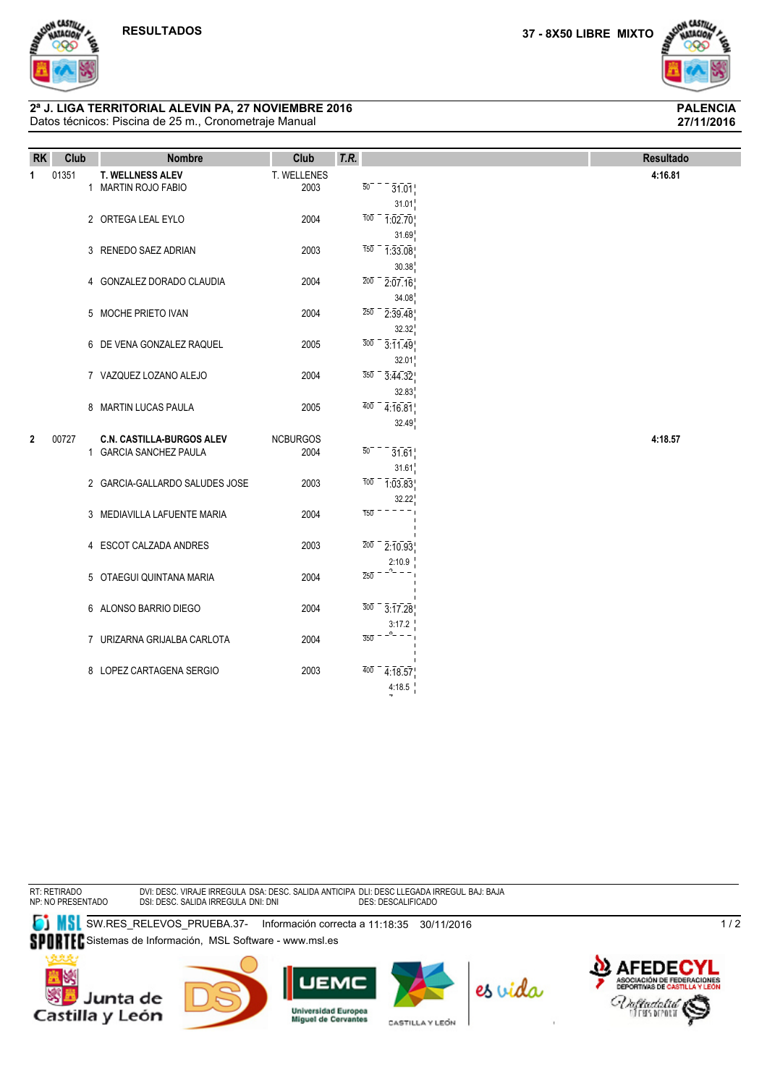ON CASTILLA



**27/11/2016**

#### Datos técnicos: Piscina de 25 m., Cronometraje Manual **2ª J. LIGA TERRITORIAL ALEVIN PA, 27 NOVIEMBRE 2016 PALENCIA**

| <b>RK</b>   | Club  | <b>Nombre</b>                    | Club            | T.R. |                                                    | <b>Resultado</b> |
|-------------|-------|----------------------------------|-----------------|------|----------------------------------------------------|------------------|
| 1           | 01351 | <b>T. WELLNESS ALEV</b>          | T. WELLENES     |      |                                                    | 4:16.81          |
|             |       | 1 MARTIN ROJO FABIO              | 2003            |      | $\overline{50}$<br>31.01                           |                  |
|             |       |                                  |                 |      | 31.01                                              |                  |
|             |       | 2 ORTEGA LEAL EYLO               | 2004            |      | $\frac{1}{100} - \frac{1}{102.70}$                 |                  |
|             |       |                                  |                 |      | 31.69                                              |                  |
|             |       | 3 RENEDO SAEZ ADRIAN             | 2003            |      | $\overline{150}$ $\overline{1}:33.08$              |                  |
|             |       |                                  |                 |      | 30.38                                              |                  |
|             |       | 4 GONZALEZ DORADO CLAUDIA        | 2004            |      | $\overline{200}$ – $\overline{2:07.16}$            |                  |
|             |       |                                  |                 |      | 34.08                                              |                  |
|             |       | 5 MOCHE PRIETO IVAN              | 2004            |      | $\overline{250}$ – 2:39.48                         |                  |
|             |       |                                  |                 |      | 32.32                                              |                  |
|             |       | 6 DE VENA GONZALEZ RAQUEL        | 2005            |      | $300 - 3.11.49$                                    |                  |
|             |       |                                  |                 |      | 32.01                                              |                  |
|             |       | 7 VAZQUEZ LOZANO ALEJO           | 2004            |      | $\overline{350}$ – $\overline{3}:\overline{44.32}$ |                  |
|             |       |                                  |                 |      | 32.83                                              |                  |
|             |       | 8 MARTIN LUCAS PAULA             | 2005            |      | $\frac{400}{4.16.81}$                              |                  |
|             |       |                                  |                 |      | 32.49                                              |                  |
| $\mathbf 2$ | 00727 | <b>C.N. CASTILLA BURGOS ALEV</b> | <b>NCBURGOS</b> |      |                                                    | 4:18.57          |
|             |       | 1 GARCIA SANCHEZ PAULA           | 2004            |      | $50-$<br>31.61                                     |                  |
|             |       |                                  |                 |      | 31.61                                              |                  |
|             |       | 2 GARCIA-GALLARDO SALUDES JOSE   | 2003            |      | $\frac{1}{100} - \frac{1}{103.83}$                 |                  |
|             |       |                                  |                 |      | 32.22                                              |                  |
|             |       | 3 MEDIAVILLA LAFUENTE MARIA      | 2004            |      | $\overline{1}5\overline{0}$                        |                  |
|             |       |                                  |                 |      |                                                    |                  |
|             |       | 4 ESCOT CALZADA ANDRES           | 2003            |      | $\overline{2}0\overline{0}$<br>2:10.93             |                  |
|             |       |                                  |                 |      | 2:10.9                                             |                  |
|             |       | 5 OTAEGUI QUINTANA MARIA         | 2004            |      | -^–<br>$\overline{2}5\overline{0}$                 |                  |
|             |       |                                  |                 |      |                                                    |                  |
|             |       | 6 ALONSO BARRIO DIEGO            | 2004            |      | $300 - 3:17.28$                                    |                  |
|             |       |                                  |                 |      | 3:17.2                                             |                  |
|             |       | 7 URIZARNA GRIJALBA CARLOTA      | 2004            |      | $\overline{3}5\overline{0}$                        |                  |
|             |       |                                  |                 |      |                                                    |                  |
|             |       | 8 LOPEZ CARTAGENA SERGIO         | 2003            |      | $\frac{1}{400}$ - $\frac{1}{4}$ : 18.57            |                  |
|             |       |                                  |                 |      | 4:18.5                                             |                  |

RT: RETIRADO NP: NO PRESENTADO DVI: DESC. VIRAJE IRREGULA DSA: DESC. SALIDA ANTICIPA DLI: DESC LLEGADA IRREGUL BAJ: BAJA<br>DSI: DESC. SALIDA IRREGULA DNI: DNI **ET MSL** SW.RES\_RELEVOS\_PRUEBA.37- Información correcta a 11:18:35 30/11/2016 SPORTEC Sistemas de Información, MSL Software - www.msl.es

7